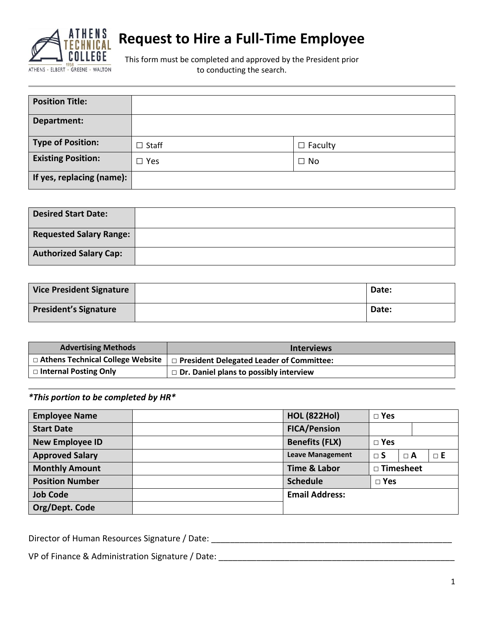

# **Request to Hire a Full-Time Employee**

This form must be completed and approved by the President prior to conducting the search.

| <b>Position Title:</b>    |              |                |
|---------------------------|--------------|----------------|
| Department:               |              |                |
| Type of Position:         | $\Box$ Staff | $\Box$ Faculty |
| <b>Existing Position:</b> | $\Box$ Yes   | $\Box$ No      |
| If yes, replacing (name): |              |                |

| <b>Desired Start Date:</b>     |  |
|--------------------------------|--|
| <b>Requested Salary Range:</b> |  |
| <b>Authorized Salary Cap:</b>  |  |

| <b>Vice President Signature</b> | Date: |
|---------------------------------|-------|
| <b>President's Signature</b>    | Date: |

| <b>Advertising Methods</b>         | <b>Interviews</b>                             |
|------------------------------------|-----------------------------------------------|
| □ Athens Technical College Website | □ President Delegated Leader of Committee:    |
| $\Box$ Internal Posting Only       | $\Box$ Dr. Daniel plans to possibly interview |

# *\*This portion to be completed by HR\**

| <b>Employee Name</b>   | <b>HOL (822Hol)</b>     | $\square$ Yes |            |            |
|------------------------|-------------------------|---------------|------------|------------|
| <b>Start Date</b>      | <b>FICA/Pension</b>     |               |            |            |
| <b>New Employee ID</b> | <b>Benefits (FLX)</b>   | $\Box$ Yes    |            |            |
| <b>Approved Salary</b> | <b>Leave Management</b> | $\sqcap$ S    | $\sqcap$ A | $\sqcap$ E |
| <b>Monthly Amount</b>  | <b>Time &amp; Labor</b> | □ Timesheet   |            |            |
| <b>Position Number</b> | <b>Schedule</b>         | $\square$ Yes |            |            |
| <b>Job Code</b>        | <b>Email Address:</b>   |               |            |            |
| Org/Dept. Code         |                         |               |            |            |

Director of Human Resources Signature / Date: \_\_\_\_\_\_\_\_\_\_\_\_\_\_\_\_\_\_\_\_\_\_\_\_\_\_\_\_\_\_\_\_\_\_

VP of Finance & Administration Signature / Date: \_\_\_\_\_\_\_\_\_\_\_\_\_\_\_\_\_\_\_\_\_\_\_\_\_\_\_\_\_\_\_